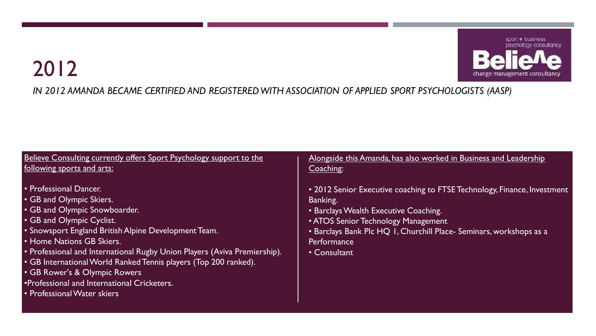

#### *IN 2012 AMANDA BECAME CERTIFIED AND REGISTERED WITH ASSOCIATION OF APPLIED SPORT PSYCHOLOGISTS (AASP)*

| Believe Consulting currently offers Sport Psychology support to the                                                                                                                                                                                                                                                                                                                                                                                                   | Alongside this Amanda, has also worked in Business and Leadership                                                                                                                                                                                                          |
|-----------------------------------------------------------------------------------------------------------------------------------------------------------------------------------------------------------------------------------------------------------------------------------------------------------------------------------------------------------------------------------------------------------------------------------------------------------------------|----------------------------------------------------------------------------------------------------------------------------------------------------------------------------------------------------------------------------------------------------------------------------|
| following sports and arts:                                                                                                                                                                                                                                                                                                                                                                                                                                            | Coaching:                                                                                                                                                                                                                                                                  |
| • Professional Dancer.<br>• GB and Olympic Skiers.<br>• GB and Olympic Snowboarder.<br>• GB and Olympic Cyclist.<br>• Snowsport England British Alpine Development Team.<br>• Home Nations GB Skiers.<br>• Professional and International Rugby Union Players (Aviva Premiership).<br>• GB International World Ranked Tennis players (Top 200 ranked).<br>• GB Rower's & Olympic Rowers<br>•Professional and International Cricketers.<br>• Professional Water skiers | • 2012 Senior Executive coaching to FTSE Technology, Finance, Investment<br>Banking.<br>• Barclays Wealth Executive Coaching.<br>• ATOS Senior Technology Management<br>• Barclays Bank Plc HQ 1, Churchill Place- Seminars, workshops as a<br>Performance<br>• Consultant |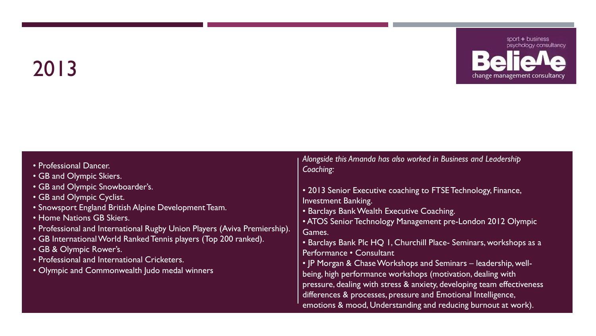

| • Professional Dancer.<br>• GB and Olympic Skiers.<br>• GB and Olympic Snowboarder's.<br>• GB and Olympic Cyclist.<br>• Snowsport England British Alpine Development Team.<br><b>• Home Nations GB Skiers.</b><br>• Professional and International Rugby Union Players (Aviva Premiership).<br>• GB International World Ranked Tennis players (Top 200 ranked).<br>· GB & Olympic Rower's.<br>• Professional and International Cricketers.<br>• Olympic and Commonwealth Judo medal winners | Alongside this Amanda has also worked in Business and Leadership<br>Coaching:<br>• 2013 Senior Executive coaching to FTSE Technology, Finance,<br>Investment Banking.<br>• Barclays Bank Wealth Executive Coaching.<br>• ATOS Senior Technology Management pre-London 2012 Olympic<br>Games.<br>• Barclays Bank Plc HQ 1, Churchill Place- Seminars, workshops as a<br>Performance • Consultant<br>. JP Morgan & Chase Workshops and Seminars - leadership, well-<br>being, high performance workshops (motivation, dealing with<br>pressure, dealing with stress & anxiety, developing team effectiveness<br>differences & processes, pressure and Emotional Intelligence,<br>emotions & mood, Understanding and reducing burnout at work). |
|---------------------------------------------------------------------------------------------------------------------------------------------------------------------------------------------------------------------------------------------------------------------------------------------------------------------------------------------------------------------------------------------------------------------------------------------------------------------------------------------|----------------------------------------------------------------------------------------------------------------------------------------------------------------------------------------------------------------------------------------------------------------------------------------------------------------------------------------------------------------------------------------------------------------------------------------------------------------------------------------------------------------------------------------------------------------------------------------------------------------------------------------------------------------------------------------------------------------------------------------------|
|---------------------------------------------------------------------------------------------------------------------------------------------------------------------------------------------------------------------------------------------------------------------------------------------------------------------------------------------------------------------------------------------------------------------------------------------------------------------------------------------|----------------------------------------------------------------------------------------------------------------------------------------------------------------------------------------------------------------------------------------------------------------------------------------------------------------------------------------------------------------------------------------------------------------------------------------------------------------------------------------------------------------------------------------------------------------------------------------------------------------------------------------------------------------------------------------------------------------------------------------------|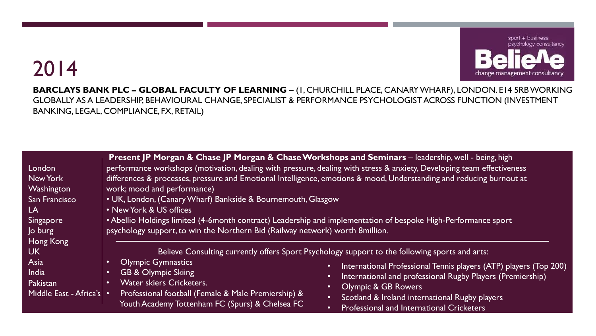

**BARCLAYS BANK PLC – GLOBAL FACULTY OF LEARNING** – (1, CHURCHILL PLACE, CANARY WHARF), LONDON. E14 5RB WORKING GLOBALLY AS A LEADERSHIP, BEHAVIOURAL CHANGE, SPECIALIST & PERFORMANCE PSYCHOLOGIST ACROSS FUNCTION (INVESTMENT BANKING, LEGAL, COMPLIANCE, FX, RETAIL)

| London                     | Present JP Morgan & Chase JP Morgan & Chase Workshops and Seminars - leadership, well - being, high                                                                                             | performance workshops (motivation, dealing with pressure, dealing with stress & anxiety, Developing team effectiveness |
|----------------------------|-------------------------------------------------------------------------------------------------------------------------------------------------------------------------------------------------|------------------------------------------------------------------------------------------------------------------------|
| New York                   |                                                                                                                                                                                                 | differences & processes, pressure and Emotional Intelligence, emotions & mood, Understanding and reducing burnout at   |
| Washington                 | work; mood and performance)                                                                                                                                                                     |                                                                                                                        |
| San Francisco              | • UK, London, (Canary Wharf) Bankside & Bournemouth, Glasgow                                                                                                                                    |                                                                                                                        |
| LA                         | • New York & US offices                                                                                                                                                                         |                                                                                                                        |
| <b>Singapore</b>           | • Abellio Holdings limited (4-6month contract) Leadership and implementation of bespoke High-Performance sport<br>psychology support, to win the Northern Bid (Railway network) worth 8million. |                                                                                                                        |
| Jo burg                    |                                                                                                                                                                                                 |                                                                                                                        |
| Hong Kong                  |                                                                                                                                                                                                 |                                                                                                                        |
| <b>UK</b>                  | Believe Consulting currently offers Sport Psychology support to the following sports and arts:                                                                                                  |                                                                                                                        |
| Asia                       | <b>Olympic Gymnastics</b><br>$\bullet$                                                                                                                                                          | International Professional Tennis players (ATP) players (Top 200)<br>$\bullet$                                         |
| India                      | <b>GB &amp; Olympic Skiing</b><br>$\bullet$                                                                                                                                                     | International and professional Rugby Players (Premiership)<br>$\bullet$                                                |
| Pakistan                   | Water skiers Cricketers.<br>$\bullet$                                                                                                                                                           | <b>Olympic &amp; GB Rowers</b>                                                                                         |
| Middle East - Africa's   . | Professional football (Female & Male Premiership) &                                                                                                                                             | Scotland & Ireland international Rugby players<br>$\bullet$                                                            |
|                            | Youth Academy Tottenham FC (Spurs) & Chelsea FC                                                                                                                                                 | <b>Professional and International Cricketers</b><br>$\bullet$                                                          |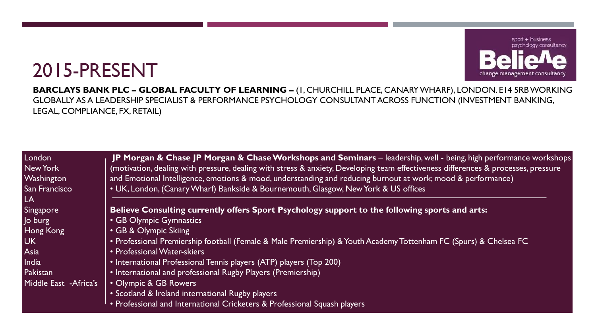#### sport + business psychology consultancy change management consultancy

### 2015-PRESENT

**BARCLAYS BANK PLC – GLOBAL FACULTY OF LEARNING –** (1, CHURCHILL PLACE, CANARY WHARF), LONDON. E14 5RB WORKING GLOBALLY AS A LEADERSHIP SPECIALIST & PERFORMANCE PSYCHOLOGY CONSULTANT ACROSS FUNCTION (INVESTMENT BANKING, LEGAL, COMPLIANCE, FX, RETAIL)

| London<br>New York<br>Washington<br>San Francisco<br>LA | JP Morgan & Chase JP Morgan & Chase Workshops and Seminars – leadership, well - being, high performance workshops<br>(motivation, dealing with pressure, dealing with stress & anxiety, Developing team effectiveness differences & processes, pressure<br>and Emotional Intelligence, emotions & mood, understanding and reducing burnout at work; mood & performance)<br>• UK, London, (Canary Wharf) Bankside & Bournemouth, Glasgow, New York & US offices |
|---------------------------------------------------------|----------------------------------------------------------------------------------------------------------------------------------------------------------------------------------------------------------------------------------------------------------------------------------------------------------------------------------------------------------------------------------------------------------------------------------------------------------------|
| Singapore                                               | Believe Consulting currently offers Sport Psychology support to the following sports and arts:                                                                                                                                                                                                                                                                                                                                                                 |
| Jo burg                                                 | • GB Olympic Gymnastics                                                                                                                                                                                                                                                                                                                                                                                                                                        |
| Hong Kong                                               | • GB & Olympic Skiing                                                                                                                                                                                                                                                                                                                                                                                                                                          |
| <b>UK</b>                                               | • Professional Premiership football (Female & Male Premiership) & Youth Academy Tottenham FC (Spurs) & Chelsea FC                                                                                                                                                                                                                                                                                                                                              |
| Asia                                                    | • Professional Water-skiers                                                                                                                                                                                                                                                                                                                                                                                                                                    |
| India                                                   | • International Professional Tennis players (ATP) players (Top 200)                                                                                                                                                                                                                                                                                                                                                                                            |
| Pakistan                                                | • International and professional Rugby Players (Premiership)                                                                                                                                                                                                                                                                                                                                                                                                   |
| Middle East - Africa's                                  | • Olympic & GB Rowers                                                                                                                                                                                                                                                                                                                                                                                                                                          |
|                                                         | • Scotland & Ireland international Rugby players                                                                                                                                                                                                                                                                                                                                                                                                               |
|                                                         | • Professional and International Cricketers & Professional Squash players                                                                                                                                                                                                                                                                                                                                                                                      |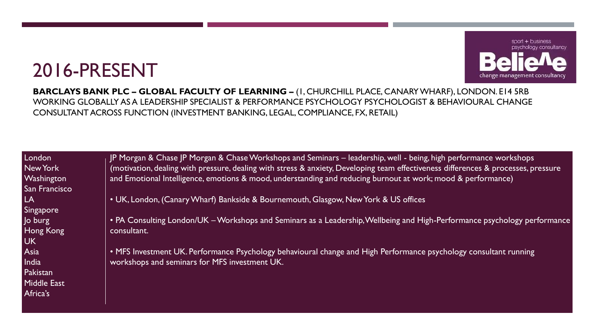### 2016-PRESENT



**BARCLAYS BANK PLC – GLOBAL FACULTY OF LEARNING –** (1, CHURCHILL PLACE, CANARY WHARF), LONDON. E14 5RB WORKING GLOBALLY AS A LEADERSHIP SPECIALIST & PERFORMANCE PSYCHOLOGY PSYCHOLOGIST & BEHAVIOURAL CHANGE CONSULTANT ACROSS FUNCTION (INVESTMENT BANKING, LEGAL, COMPLIANCE, FX, RETAIL)

London New York **Washington** San Francisco LA Singapore Jo burg Hong Kong UK Asia **India** Pakistan Middle East Africa's

JP Morgan & Chase JP Morgan & Chase Workshops and Seminars – leadership, well - being, high performance workshops (motivation, dealing with pressure, dealing with stress & anxiety, Developing team effectiveness differences & processes, pressure and Emotional Intelligence, emotions & mood, understanding and reducing burnout at work; mood & performance)

• UK, London, (Canary Wharf) Bankside & Bournemouth, Glasgow, New York & US offices

• PA Consulting London/UK –Workshops and Seminars as a Leadership, Wellbeing and High-Performance psychology performance consultant.

• MFS Investment UK. Performance Psychology behavioural change and High Performance psychology consultant running workshops and seminars for MFS investment UK.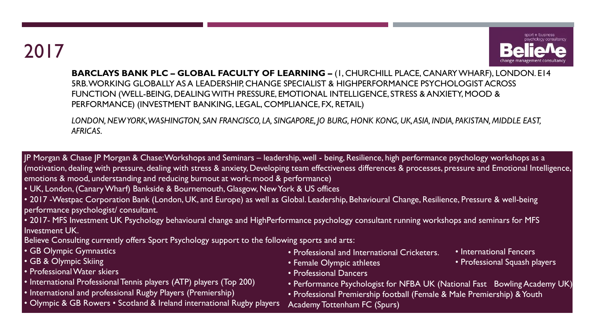

**BARCLAYS BANK PLC – GLOBAL FACULTY OF LEARNING –** (1, CHURCHILL PLACE, CANARY WHARF), LONDON. E14 5RB. WORKING GLOBALLY AS A LEADERSHIP, CHANGE SPECIALIST & HIGHPERFORMANCE PSYCHOLOGIST ACROSS FUNCTION (WELL-BEING, DEALING WITH PRESSURE, EMOTIONAL INTELLIGENCE, STRESS & ANXIETY, MOOD & PERFORMANCE) (INVESTMENT BANKING, LEGAL, COMPLIANCE, FX, RETAIL)

*LONDON, NEW YORK, WASHINGTON, SAN FRANCISCO, LA, SINGAPORE, JO BURG, HONK KONG, UK, ASIA, INDIA, PAKISTAN, MIDDLE EAST, AFRICAS.*

JP Morgan & Chase JP Morgan & Chase: Workshops and Seminars – leadership, well - being, Resilience, high performance psychology workshops as a (motivation, dealing with pressure, dealing with stress & anxiety, Developing team effectiveness differences & processes, pressure and Emotional Intelligence, emotions & mood, understanding and reducing burnout at work; mood & performance)

- UK, London, (Canary Wharf) Bankside & Bournemouth, Glasgow, New York & US offices
- 2017 -Westpac Corporation Bank (London, UK, and Europe) as well as Global. Leadership, Behavioural Change, Resilience, Pressure & well-being performance psychologist/ consultant.
- 2017- MFS Investment UK Psychology behavioural change and HighPerformance psychology consultant running workshops and seminars for MFS Investment UK.

Believe Consulting currently offers Sport Psychology support to the following sports and arts:

- GB Olympic Gymnastics
- GB & Olympic Skiing
- Professional Water skiers
- International Professional Tennis players (ATP) players (Top 200)
- International and professional Rugby Players (Premiership)
- Olympic & GB Rowers Scotland & Ireland international Rugby players
- Professional and International Cricketers.
- Female Olympic athletes
- Professional Dancers
- Performance Psychologist for NFBA UK (National Fast Bowling Academy UK)
- Professional Premiership football (Female & Male Premiership) & Youth
- Academy Tottenham FC (Spurs)
- International Fencers
- Professional Squash players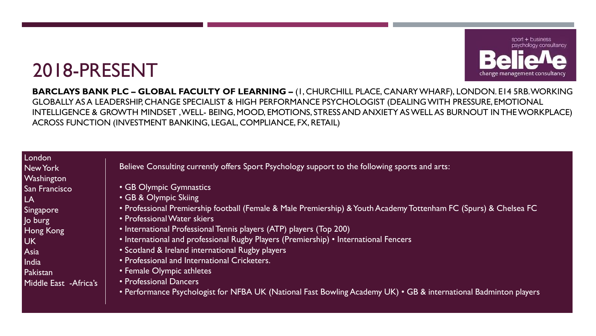### 2018-PRESENT



**BARCLAYS BANK PLC – GLOBAL FACULTY OF LEARNING –** (1, CHURCHILL PLACE, CANARY WHARF), LONDON. E14 5RB. WORKING GLOBALLY AS A LEADERSHIP, CHANGE SPECIALIST & HIGH PERFORMANCE PSYCHOLOGIST (DEALING WITH PRESSURE, EMOTIONAL INTELLIGENCE & GROWTH MINDSET , WELL- BEING, MOOD, EMOTIONS, STRESS AND ANXIETY AS WELL AS BURNOUT IN THE WORKPLACE) ACROSS FUNCTION (INVESTMENT BANKING, LEGAL, COMPLIANCE, FX, RETAIL)

London New York **Washington** San Francisco LA Singapore Jo burg Hong Kong UK Asia **India** Pakistan Middle East -Africa's

Believe Consulting currently offers Sport Psychology support to the following sports and arts:

- GB Olympic Gymnastics
- GB & Olympic Skiing
- Professional Premiership football (Female & Male Premiership) & Youth Academy Tottenham FC (Spurs) & Chelsea FC
- Professional Water skiers
- International Professional Tennis players (ATP) players (Top 200)
- International and professional Rugby Players (Premiership) International Fencers
- Scotland & Ireland international Rugby players
- Professional and International Cricketers.
- Female Olympic athletes
- Professional Dancers
- Performance Psychologist for NFBA UK (National Fast Bowling Academy UK) GB & international Badminton players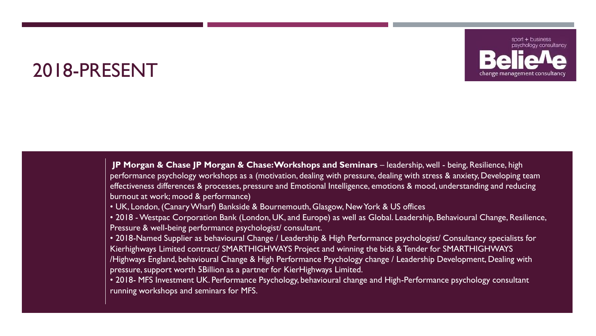#### 2018-PRESENT



**JP Morgan & Chase JP Morgan & Chase: Workshops and Seminars** – leadership, well - being, Resilience, high performance psychology workshops as a (motivation, dealing with pressure, dealing with stress & anxiety, Developing team effectiveness differences & processes, pressure and Emotional Intelligence, emotions & mood, understanding and reducing burnout at work; mood & performance)

• UK, London, (Canary Wharf) Bankside & Bournemouth, Glasgow, New York & US offices

• 2018 -Westpac Corporation Bank (London, UK, and Europe) as well as Global. Leadership, Behavioural Change, Resilience, Pressure & well-being performance psychologist/ consultant.

• 2018-Named Supplier as behavioural Change / Leadership & High Performance psychologist/ Consultancy specialists for Kierhighways Limited contract/ SMARTHIGHWAYS Project and winning the bids & Tender for SMARTHIGHWAYS /Highways England, behavioural Change & High Performance Psychology change / Leadership Development, Dealing with pressure, support worth 5Billion as a partner for KierHighways Limited.

• 2018- MFS Investment UK. Performance Psychology, behavioural change and High-Performance psychology consultant running workshops and seminars for MFS.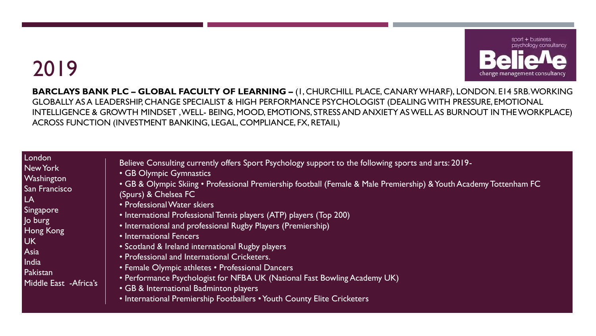

**BARCLAYS BANK PLC – GLOBAL FACULTY OF LEARNING –** (1, CHURCHILL PLACE, CANARY WHARF), LONDON. E14 5RB. WORKING GLOBALLY AS A LEADERSHIP, CHANGE SPECIALIST & HIGH PERFORMANCE PSYCHOLOGIST (DEALING WITH PRESSURE, EMOTIONAL INTELLIGENCE & GROWTH MINDSET , WELL- BEING, MOOD, EMOTIONS, STRESS AND ANXIETY AS WELL AS BURNOUT IN THE WORKPLACE) ACROSS FUNCTION (INVESTMENT BANKING, LEGAL, COMPLIANCE, FX, RETAIL)

#### London New York **Washington** San Francisco LA Singapore Jo burg Hong Kong UK Asia **India** Pakistan Middle East -Africa's

- Believe Consulting currently offers Sport Psychology support to the following sports and arts: 2019-
- GB Olympic Gymnastics
- GB & Olympic Skiing Professional Premiership football (Female & Male Premiership) & Youth Academy Tottenham FC (Spurs) & Chelsea FC
- Professional Water skiers
- International Professional Tennis players (ATP) players (Top 200)
- International and professional Rugby Players (Premiership)
- International Fencers
- Scotland & Ireland international Rugby players
- Professional and International Cricketers.
- Female Olympic athletes Professional Dancers
- Performance Psychologist for NFBA UK (National Fast Bowling Academy UK)
- GB & International Badminton players
- International Premiership Footballers Youth County Elite Cricketers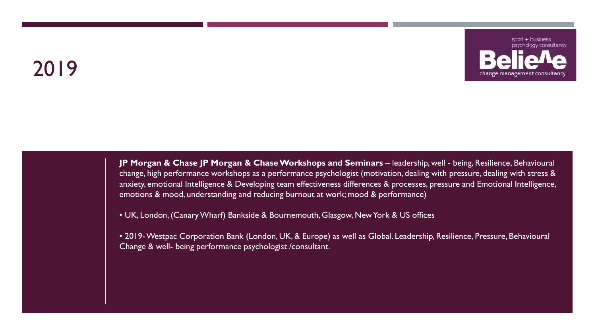

**JP Morgan & Chase JP Morgan & Chase Workshops and Seminars** – leadership, well - being, Resilience, Behavioural change, high performance workshops as a performance psychologist (motivation, dealing with pressure, dealing with stress & anxiety, emotional Intelligence & Developing team effectiveness differences & processes, pressure and Emotional Intelligence, emotions & mood, understanding and reducing burnout at work; mood & performance)

• UK, London, (Canary Wharf) Bankside & Bournemouth, Glasgow, New York & US offices

• 2019-Westpac Corporation Bank (London, UK, & Europe) as well as Global. Leadership, Resilience, Pressure, Behavioural Change & well- being performance psychologist /consultant.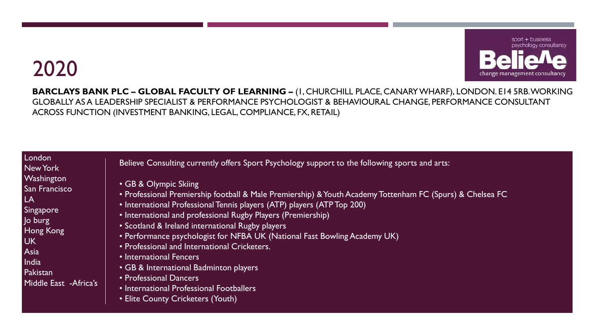

**BARCLAYS BANK PLC – GLOBAL FACULTY OF LEARNING –** (1, CHURCHILL PLACE, CANARY WHARF), LONDON. E14 5RB. WORKING GLOBALLY AS A LEADERSHIP SPECIALIST & PERFORMANCE PSYCHOLOGIST & BEHAVIOURAL CHANGE, PERFORMANCE CONSULTANT ACROSS FUNCTION (INVESTMENT BANKING, LEGAL, COMPLIANCE, FX, RETAIL)

#### London New York **Washington** San Francisco LA Singapore Jo burg Hong Kong UK Asia **India** Pakistan Middle East -Africa's

Believe Consulting currently offers Sport Psychology support to the following sports and arts:

- GB & Olympic Skiing
- Professional Premiership football & Male Premiership) & Youth Academy Tottenham FC (Spurs) & Chelsea FC
- International Professional Tennis players (ATP) players (ATP Top 200)
- International and professional Rugby Players (Premiership)
- Scotland & Ireland international Rugby players
- Performance psychologist for NFBA UK (National Fast Bowling Academy UK)
- Professional and International Cricketers.
- International Fencers
- GB & International Badminton players
- Professional Dancers
- International Professional Footballers
- Elite County Cricketers (Youth)